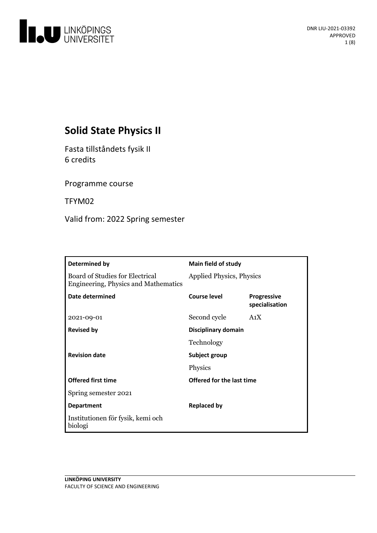

# **Solid State Physics II**

Fasta tillståndets fysik II 6 credits

Programme course

TFYM02

Valid from: 2022 Spring semester

| Determined by                                                                  | <b>Main field of study</b>      |                                      |
|--------------------------------------------------------------------------------|---------------------------------|--------------------------------------|
| Board of Studies for Electrical<br><b>Engineering, Physics and Mathematics</b> | <b>Applied Physics, Physics</b> |                                      |
| Date determined                                                                | <b>Course level</b>             | <b>Progressive</b><br>specialisation |
| 2021-09-01                                                                     | Second cycle                    | A <sub>1</sub> X                     |
| <b>Revised by</b>                                                              | Disciplinary domain             |                                      |
|                                                                                | Technology                      |                                      |
| <b>Revision date</b>                                                           | Subject group                   |                                      |
|                                                                                | Physics                         |                                      |
| <b>Offered first time</b>                                                      | Offered for the last time       |                                      |
| Spring semester 2021                                                           |                                 |                                      |
| <b>Department</b>                                                              | <b>Replaced by</b>              |                                      |
| Institutionen för fysik, kemi och<br>biologi                                   |                                 |                                      |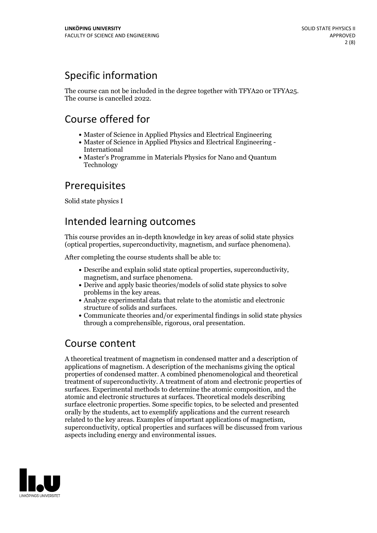# Specific information

The course can not be included in the degree together with TFYA20 or TFYA25. The course is cancelled 2022.

## Course offered for

- Master of Science in Applied Physics and Electrical Engineering
- Master of Science in Applied Physics and Electrical Engineering International
- Master's Programme in Materials Physics for Nano and Quantum Technology

## Prerequisites

Solid state physics I

## Intended learning outcomes

This course provides an in-depth knowledge in key areas of solid state physics (optical properties, superconductivity, magnetism, and surface phenomena).

After completing the course students shall be able to:

- Describe and explain solid state optical properties, superconductivity, magnetism, and surface phenomena. Derive and apply basic theories/models of solid state physics to solve
- 
- problems in the key areas.<br>• Analyze experimental data that relate to the atomistic and electronic<br>structure of solids and surfaces.
- $\bullet$  Communicate theories and/or experimental findings in solid state physics through a comprehensible, rigorous, oral presentation.

## Course content

A theoretical treatment of magnetism in condensed matter and a description of applications of magnetism. A description of the mechanisms giving the optical properties of condensed matter. A combined phenomenological and theoretical treatment of superconductivity. A treatment of atom and electronic properties of surfaces. Experimental methods to determine the atomic composition, and the atomic and electronic structures at surfaces. Theoretical models describing surface electronic properties. Some specific topics, to be selected and presented orally by the students, act to exemplify applications and the current research related to the key areas. Examples of important applications of magnetism, superconductivity, optical properties and surfaces will be discussed from various aspects including energy and environmental issues.

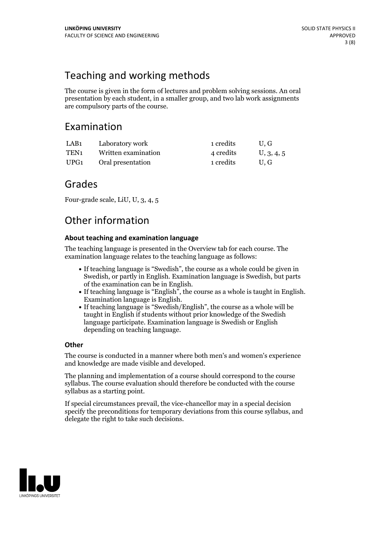# Teaching and working methods

The course is given in the form of lectures and problem solving sessions. An oral presentation by each student, in a smaller group, and two lab work assignments are compulsory parts of the course.

## Examination

| LAB1 | Laboratory work     | 1 credits | U.G        |
|------|---------------------|-----------|------------|
| TEN1 | Written examination | 4 credits | U, 3, 4, 5 |
| UPG1 | Oral presentation   | 1 credits | U.G        |

## Grades

Four-grade scale, LiU, U, 3, 4, 5

## Other information

### **About teaching and examination language**

The teaching language is presented in the Overview tab for each course. The examination language relates to the teaching language as follows:

- If teaching language is "Swedish", the course as a whole could be given in Swedish, or partly in English. Examination language is Swedish, but parts of the examination can be in English.
- If teaching language is "English", the course as <sup>a</sup> whole is taught in English. Examination language is English. If teaching language is "Swedish/English", the course as <sup>a</sup> whole will be
- taught in English if students without prior knowledge of the Swedish language participate. Examination language is Swedish or English depending on teaching language.

### **Other**

The course is conducted in a manner where both men's and women's experience and knowledge are made visible and developed.

The planning and implementation of a course should correspond to the course syllabus. The course evaluation should therefore be conducted with the course syllabus as a starting point.

If special circumstances prevail, the vice-chancellor may in a special decision specify the preconditions for temporary deviations from this course syllabus, and delegate the right to take such decisions.

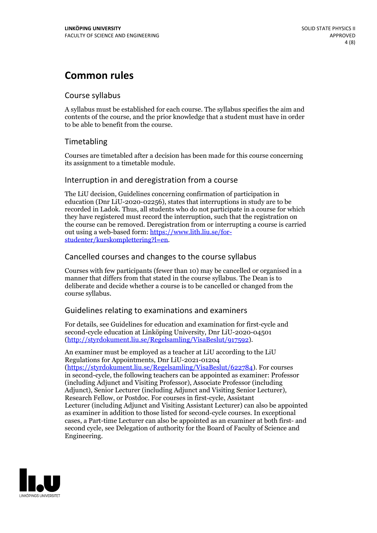## **Common rules**

### Course syllabus

A syllabus must be established for each course. The syllabus specifies the aim and contents of the course, and the prior knowledge that a student must have in order to be able to benefit from the course.

### Timetabling

Courses are timetabled after a decision has been made for this course concerning its assignment to a timetable module.

### Interruption in and deregistration from a course

The LiU decision, Guidelines concerning confirmation of participation in education (Dnr LiU-2020-02256), states that interruptions in study are to be recorded in Ladok. Thus, all students who do not participate in a course for which they have registered must record the interruption, such that the registration on the course can be removed. Deregistration from or interrupting a course is carried out using <sup>a</sup> web-based form: https://www.lith.liu.se/for- [studenter/kurskomplettering?l=en.](https://www.lith.liu.se/for-studenter/kurskomplettering?l=en)

### Cancelled courses and changes to the course syllabus

Courses with few participants (fewer than 10) may be cancelled or organised in a manner that differs from that stated in the course syllabus. The Dean is to deliberate and decide whether a course is to be cancelled or changed from the course syllabus.

### Guidelines relating to examinations and examiners

For details, see Guidelines for education and examination for first-cycle and second-cycle education at Linköping University, Dnr LiU-2020-04501 [\(http://styrdokument.liu.se/Regelsamling/VisaBeslut/917592\)](http://styrdokument.liu.se/Regelsamling/VisaBeslut/917592).

An examiner must be employed as a teacher at LiU according to the LiU Regulations for Appointments, Dnr LiU-2021-01204 [\(https://styrdokument.liu.se/Regelsamling/VisaBeslut/622784](https://styrdokument.liu.se/Regelsamling/VisaBeslut/622784)). For courses in second-cycle, the following teachers can be appointed as examiner: Professor (including Adjunct and Visiting Professor), Associate Professor (including Adjunct), Senior Lecturer (including Adjunct and Visiting Senior Lecturer), Research Fellow, or Postdoc. For courses in first-cycle, Assistant Lecturer (including Adjunct and Visiting Assistant Lecturer) can also be appointed as examiner in addition to those listed for second-cycle courses. In exceptional cases, a Part-time Lecturer can also be appointed as an examiner at both first- and second cycle, see Delegation of authority for the Board of Faculty of Science and Engineering.

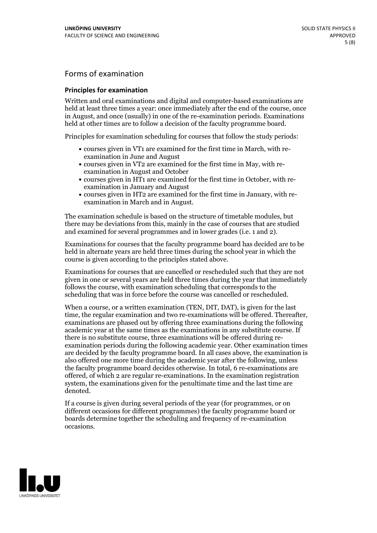## Forms of examination

#### **Principles for examination**

Written and oral examinations and digital and computer-based examinations are held at least three times a year: once immediately after the end of the course, once in August, and once (usually) in one of the re-examination periods. Examinations held at other times are to follow a decision of the faculty programme board.

Principles for examination scheduling for courses that follow the study periods:

- courses given in VT1 are examined for the first time in March, with re-examination in June and August
- courses given in VT2 are examined for the first time in May, with re-examination in August and October
- courses given in HT1 are examined for the first time in October, with re-examination in January and August
- courses given in HT2 are examined for the first time in January, with re-examination in March and in August.

The examination schedule is based on the structure of timetable modules, but there may be deviations from this, mainly in the case of courses that are studied and examined for several programmes and in lower grades (i.e. 1 and 2).

Examinations for courses that the faculty programme board has decided are to be held in alternate years are held three times during the school year in which the course is given according to the principles stated above.

Examinations for courses that are cancelled orrescheduled such that they are not given in one or several years are held three times during the year that immediately follows the course, with examination scheduling that corresponds to the scheduling that was in force before the course was cancelled or rescheduled.

When a course, or a written examination (TEN, DIT, DAT), is given for the last time, the regular examination and two re-examinations will be offered. Thereafter, examinations are phased out by offering three examinations during the following academic year at the same times as the examinations in any substitute course. If there is no substitute course, three examinations will be offered during re- examination periods during the following academic year. Other examination times are decided by the faculty programme board. In all cases above, the examination is also offered one more time during the academic year after the following, unless the faculty programme board decides otherwise. In total, 6 re-examinations are offered, of which 2 are regular re-examinations. In the examination registration system, the examinations given for the penultimate time and the last time are denoted.

If a course is given during several periods of the year (for programmes, or on different occasions for different programmes) the faculty programme board or boards determine together the scheduling and frequency of re-examination occasions.

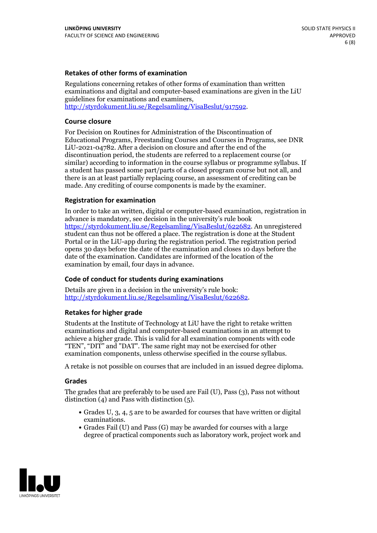#### **Retakes of other forms of examination**

Regulations concerning retakes of other forms of examination than written examinations and digital and computer-based examinations are given in the LiU guidelines for examinations and examiners, [http://styrdokument.liu.se/Regelsamling/VisaBeslut/917592.](http://styrdokument.liu.se/Regelsamling/VisaBeslut/917592)

#### **Course closure**

For Decision on Routines for Administration of the Discontinuation of Educational Programs, Freestanding Courses and Courses in Programs, see DNR LiU-2021-04782. After a decision on closure and after the end of the discontinuation period, the students are referred to a replacement course (or similar) according to information in the course syllabus or programme syllabus. If a student has passed some part/parts of a closed program course but not all, and there is an at least partially replacing course, an assessment of crediting can be made. Any crediting of course components is made by the examiner.

#### **Registration for examination**

In order to take an written, digital or computer-based examination, registration in advance is mandatory, see decision in the university's rule book [https://styrdokument.liu.se/Regelsamling/VisaBeslut/622682.](https://styrdokument.liu.se/Regelsamling/VisaBeslut/622682) An unregistered student can thus not be offered a place. The registration is done at the Student Portal or in the LiU-app during the registration period. The registration period opens 30 days before the date of the examination and closes 10 days before the date of the examination. Candidates are informed of the location of the examination by email, four days in advance.

#### **Code of conduct for students during examinations**

Details are given in a decision in the university's rule book: <http://styrdokument.liu.se/Regelsamling/VisaBeslut/622682>.

#### **Retakes for higher grade**

Students at the Institute of Technology at LiU have the right to retake written examinations and digital and computer-based examinations in an attempt to achieve a higher grade. This is valid for all examination components with code "TEN", "DIT" and "DAT". The same right may not be exercised for other examination components, unless otherwise specified in the course syllabus.

A retake is not possible on courses that are included in an issued degree diploma.

#### **Grades**

The grades that are preferably to be used are Fail (U), Pass (3), Pass not without distinction  $(4)$  and Pass with distinction  $(5)$ .

- Grades U, 3, 4, 5 are to be awarded for courses that have written or digital examinations.<br>• Grades Fail (U) and Pass (G) may be awarded for courses with a large
- degree of practical components such as laboratory work, project work and

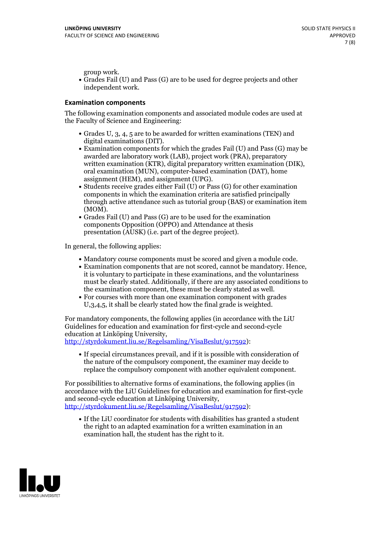group work.<br>• Grades Fail (U) and Pass (G) are to be used for degree projects and other independent work.

#### **Examination components**

The following examination components and associated module codes are used at the Faculty of Science and Engineering:

- Grades U, 3, 4, 5 are to be awarded for written examinations (TEN) and
- digital examinations (DIT).<br>• Examination components for which the grades Fail (U) and Pass (G) may be awarded are laboratory work (LAB), project work (PRA), preparatory written examination (KTR), digital preparatory written examination (DIK), oral examination (MUN), computer-based examination (DAT), home
- assignment (HEM), and assignment (UPG).<br>• Students receive grades either Fail (U) or Pass (G) for other examination components in which the examination criteria are satisfied principally through active attendance such as tutorial group (BAS) or examination item
- (MOM).<br>• Grades Fail (U) and Pass (G) are to be used for the examination components Opposition (OPPO) and Attendance at thesis presentation (AUSK) (i.e. part of the degree project).

In general, the following applies:

- 
- Mandatory course components must be scored and given <sup>a</sup> module code. Examination components that are not scored, cannot be mandatory. Hence, it is voluntary to participate in these examinations, and the voluntariness must be clearly stated. Additionally, if there are any associated conditions to
- the examination component, these must be clearly stated as well.<br>• For courses with more than one examination component with grades U,3,4,5, it shall be clearly stated how the final grade is weighted.

For mandatory components, the following applies (in accordance with the LiU Guidelines for education and examination for first-cycle and second-cycle education at Linköping University,<br>[http://styrdokument.liu.se/Regelsamling/VisaBeslut/917592\)](http://styrdokument.liu.se/Regelsamling/VisaBeslut/917592):

If special circumstances prevail, and if it is possible with consideration of the nature of the compulsory component, the examiner may decide to replace the compulsory component with another equivalent component.

For possibilities to alternative forms of examinations, the following applies (in accordance with the LiU Guidelines for education and examination for first-cycle [http://styrdokument.liu.se/Regelsamling/VisaBeslut/917592\)](http://styrdokument.liu.se/Regelsamling/VisaBeslut/917592):

If the LiU coordinator for students with disabilities has granted a student the right to an adapted examination for a written examination in an examination hall, the student has the right to it.